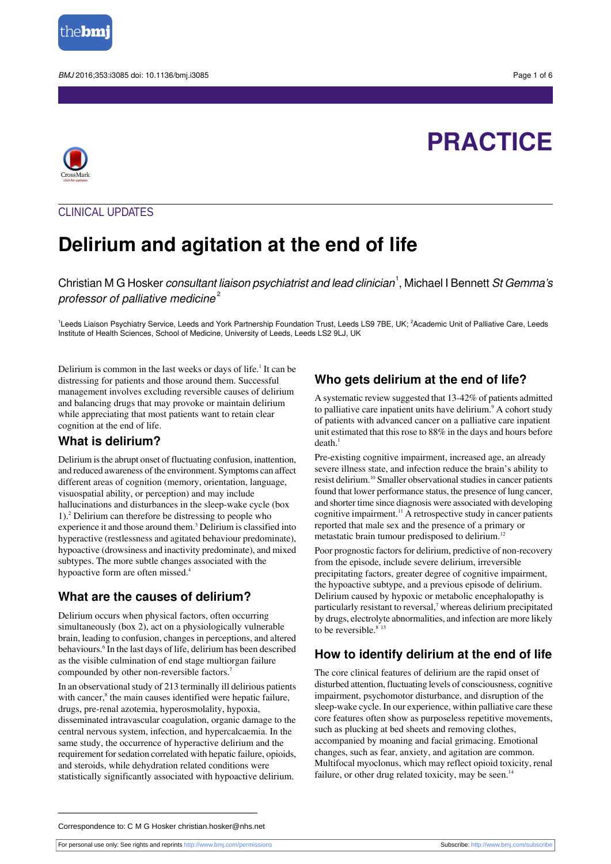

# **PRACTICE**



### CLINICAL UPDATES

## **Delirium and agitation at the end of life**

Christian M G Hosker *consultant liaison psychiatrist and lead clinician*  $^1$ , Michael I Bennett *St Gemma's* professor of palliative medicine $2$ 

<sup>1</sup>Leeds Liaison Psychiatry Service, Leeds and York Partnership Foundation Trust, Leeds LS9 7BE, UK; <sup>2</sup>Academic Unit of Palliative Care, Leeds Institute of Health Sciences, School of Medicine, University of Leeds, Leeds LS2 9LJ, UK

Delirium is common in the last weeks or days of life.<sup>1</sup> It can be distressing for patients and those around them. Successful management involves excluding reversible causes of delirium and balancing drugs that may provoke or maintain delirium while appreciating that most patients want to retain clear cognition at the end of life.

### **What is delirium?**

Delirium is the abrupt onset of fluctuating confusion, inattention, and reduced awareness of the environment. Symptoms can affect different areas of cognition (memory, orientation, language, visuospatial ability, or perception) and may include hallucinations and disturbances in the sleep-wake cycle (box 1).<sup>2</sup> Delirium can therefore be distressing to people who experience it and those around them.<sup>3</sup> Delirium is classified into hyperactive (restlessness and agitated behaviour predominate), hypoactive (drowsiness and inactivity predominate), and mixed subtypes. The more subtle changes associated with the hypoactive form are often missed.<sup>4</sup>

### **What are the causes of delirium?**

Delirium occurs when physical factors, often occurring simultaneously (box 2), act on a physiologically vulnerable brain, leading to confusion, changes in perceptions, and altered behaviours.<sup>6</sup> In the last days of life, delirium has been described as the visible culmination of end stage multiorgan failure compounded by other non-reversible factors.<sup>7</sup>

In an observational study of 213 terminally ill delirious patients with cancer,<sup>8</sup> the main causes identified were hepatic failure, drugs, pre-renal azotemia, hyperosmolality, hypoxia, disseminated intravascular coagulation, organic damage to the central nervous system, infection, and hypercalcaemia. In the same study, the occurrence of hyperactive delirium and the requirement for sedation correlated with hepatic failure, opioids, and steroids, while dehydration related conditions were statistically significantly associated with hypoactive delirium.

### **Who gets delirium at the end of life?**

A systematic review suggested that 13-42% of patients admitted to palliative care inpatient units have delirium.<sup>9</sup> A cohort study of patients with advanced cancer on a palliative care inpatient unit estimated that this rose to 88% in the days and hours before  $death.<sup>1</sup>$ 

Pre-existing cognitive impairment, increased age, an already severe illness state, and infection reduce the brain's ability to resist delirium.<sup>10</sup> Smaller observational studies in cancer patients found that lower performance status, the presence of lung cancer, and shorter time since diagnosis were associated with developing cognitive impairment.<sup>11</sup> A retrospective study in cancer patients reported that male sex and the presence of a primary or metastatic brain tumour predisposed to delirium.<sup>12</sup>

Poor prognostic factors for delirium, predictive of non-recovery from the episode, include severe delirium, irreversible precipitating factors, greater degree of cognitive impairment, the hypoactive subtype, and a previous episode of delirium. Delirium caused by hypoxic or metabolic encephalopathy is particularly resistant to reversal,<sup>7</sup> whereas delirium precipitated by drugs, electrolyte abnormalities, and infection are more likely to be reversible.<sup>8 13</sup>

### **How to identify delirium at the end of life**

The core clinical features of delirium are the rapid onset of disturbed attention, fluctuating levels of consciousness, cognitive impairment, psychomotor disturbance, and disruption of the sleep-wake cycle. In our experience, within palliative care these core features often show as purposeless repetitive movements, such as plucking at bed sheets and removing clothes, accompanied by moaning and facial grimacing. Emotional changes, such as fear, anxiety, and agitation are common. Multifocal myoclonus, which may reflect opioid toxicity, renal failure, or other drug related toxicity, may be seen. $14$ 

Correspondence to: C M G Hosker christian.hosker@nhs.net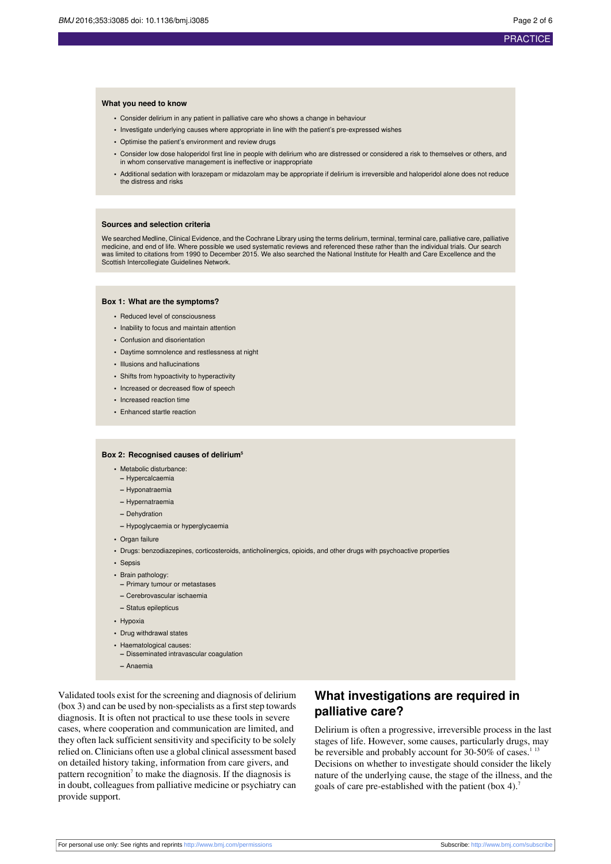#### **What you need to know**

- **•** Consider delirium in any patient in palliative care who shows a change in behaviour
- **•** Investigate underlying causes where appropriate in line with the patient's pre-expressed wishes
- **•** Optimise the patient's environment and review drugs
- **•** Consider low dose haloperidol first line in people with delirium who are distressed or considered a risk to themselves or others, and in whom conservative management is ineffective or inappropriate
- **•** Additional sedation with lorazepam or midazolam may be appropriate if delirium is irreversible and haloperidol alone does not reduce the distress and risks

#### **Sources and selection criteria**

We searched Medline, Clinical Evidence, and the Cochrane Library using the terms delirium, terminal, terminal care, palliative care, palliative medicine, and end of life. Where possible we used systematic reviews and referenced these rather than the individual trials. Our search<br>was limited to citations from 1990 to December 2015. We also searched the National Ins Scottish Intercollegiate Guidelines Network.

#### **Box 1: What are the symptoms?**

- **•** Reduced level of consciousness
- **•** Inability to focus and maintain attention
- **•** Confusion and disorientation
- **•** Daytime somnolence and restlessness at night
- **•** Illusions and hallucinations
- **•** Shifts from hypoactivity to hyperactivity
- **•** Increased or decreased flow of speech
- **•** Increased reaction time
- **•** Enhanced startle reaction

#### **Box 2: Recognised causes of delirium<sup>5</sup>**

- **•** Metabolic disturbance:
	- **–** Hypercalcaemia
- **–** Hyponatraemia
- **–** Hypernatraemia
- **–** Dehydration
- **–** Hypoglycaemia or hyperglycaemia
- **•** Organ failure
- Drugs: benzodiazepines, corticosteroids, anticholinergics, opioids, and other drugs with psychoactive properties
- **•** Sepsis
- **•** Brain pathology:
- **–** Primary tumour or metastases
- **–** Cerebrovascular ischaemia
- **–** Status epilepticus
- **•** Hypoxia
- **•** Drug withdrawal states
- **•** Haematological causes:
- **–** Disseminated intravascular coagulation
- **–** Anaemia

Validated tools exist for the screening and diagnosis of delirium  $(box 3)$  and can be used by non-specialists as a first step towards diagnosis. It is often not practical to use these tools in severe cases, where cooperation and communication are limited, and they often lack sufficient sensitivity and specificity to be solely relied on. Clinicians often use a global clinical assessment based on detailed history taking, information from care givers, and pattern recognition<sup>7</sup> to make the diagnosis. If the diagnosis is in doubt, colleagues from palliative medicine or psychiatry can provide support.

### **What investigations are required in palliative care?**

Delirium is often a progressive, irreversible process in the last stages of life. However, some causes, particularly drugs, may be reversible and probably account for  $30-50\%$  of cases.<sup>13</sup> Decisions on whether to investigate should consider the likely nature of the underlying cause, the stage of the illness, and the goals of care pre-established with the patient (box 4).<sup>7</sup>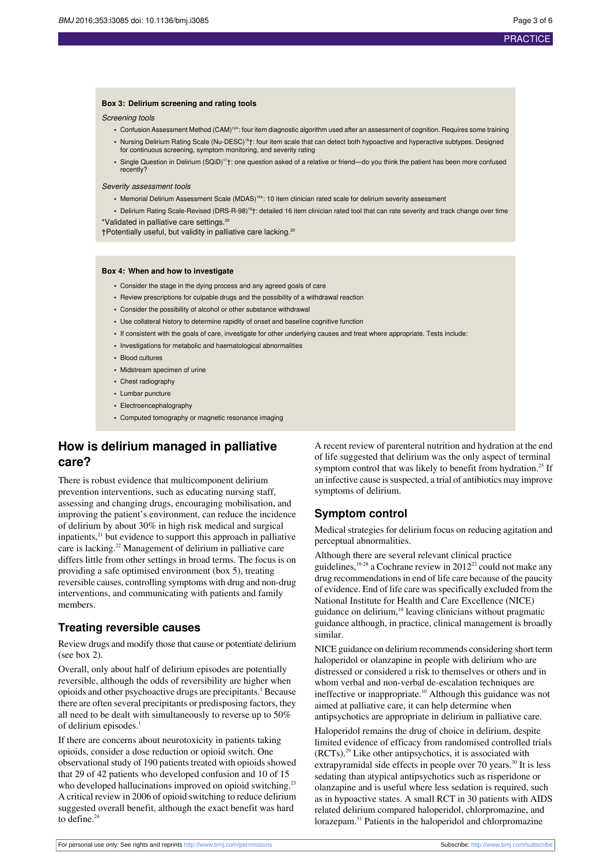### **PRACTICE**

### **Box 3: Delirium screening and rating tools**

#### Screening tools

- **•** Confusion Assessment Method (CAM)<sup>15</sup>\*: four item diagnostic algorithm used after an assessment of cognition. Requires some training
- Nursing Delirium Rating Scale (Nu-DESC)<sup>16</sup>†: four item scale that can detect both hypoactive and hyperactive subtypes. Designed for continuous screening, symptom monitoring, and severity rating
- **•** Single Question in Delirium (SQiD)<sup>17</sup>†: one question asked of a relative or friend—do you think the patient has been more confused recently?

### Severity assessment tools

- **•** Memorial Delirium Assessment Scale (MDAS)<sup>18</sup>\*: 10 item clinician rated scale for delirium severity assessment
- **•** Delirium Rating Scale-Revised (DRS-R-98)<sup>19</sup>†: detailed 16 item clinician rated tool that can rate severity and track change over time \*Validated in palliative care settings.<sup>20</sup>

†Potentially useful, but validity in palliative care lacking.<sup>20</sup>

### **Box 4: When and how to investigate**

- **•** Consider the stage in the dying process and any agreed goals of care
- **•** Review prescriptions for culpable drugs and the possibility of a withdrawal reaction
- **•** Consider the possibility of alcohol or other substance withdrawal
- **•** Use collateral history to determine rapidity of onset and baseline cognitive function
- **•** If consistent with the goals of care, investigate for other underlying causes and treat where appropriate. Tests include:
- **•** Investigations for metabolic and haematological abnormalities
- **•** Blood cultures
- **•** Midstream specimen of urine
- **•** Chest radiography
- **•** Lumbar puncture
- **•** Electroencephalography
- **•** Computed tomography or magnetic resonance imaging

### **How is delirium managed in palliative care?**

There is robust evidence that multicomponent delirium prevention interventions, such as educating nursing staff, assessing and changing drugs, encouraging mobilisation, and improving the patient's environment, can reduce the incidence of delirium by about 30% in high risk medical and surgical inpatients, $2<sup>1</sup>$  but evidence to support this approach in palliative care is lacking.<sup>22</sup> Management of delirium in palliative care differs little from other settings in broad terms. The focus is on providing a safe optimised environment (box 5), treating reversible causes, controlling symptoms with drug and non-drug interventions, and communicating with patients and family members.

### **Treating reversible causes**

Review drugs and modify those that cause or potentiate delirium (see box 2).

Overall, only about half of delirium episodes are potentially reversible, although the odds of reversibility are higher when opioids and other psychoactive drugs are precipitants.<sup>1</sup> Because there are often several precipitants or predisposing factors, they all need to be dealt with simultaneously to reverse up to 50% of delirium episodes.<sup>1</sup>

If there are concerns about neurotoxicity in patients taking opioids, consider a dose reduction or opioid switch. One observational study of 190 patients treated with opioids showed that 29 of 42 patients who developed confusion and 10 of 15 who developed hallucinations improved on opioid switching.<sup>23</sup> A critical review in 2006 of opioid switching to reduce delirium suggested overall benefit, although the exact benefit was hard to define. $24$ 

A recent review of parenteral nutrition and hydration at the end of life suggested that delirium was the only aspect of terminal symptom control that was likely to benefit from hydration.<sup>25</sup> If an infective cause issuspected, a trial of antibiotics may improve symptoms of delirium.

### **Symptom control**

Medical strategies for delirium focus on reducing agitation and perceptual abnormalities.

Although there are several relevant clinical practice guidelines,  $10-28$  a Cochrane review in  $2012^{22}$  could not make any drug recommendations in end of life care because of the paucity of evidence. End of life care wasspecifically excluded from the National Institute for Health and Care Excellence (NICE) guidance on delirium,<sup>10</sup> leaving clinicians without pragmatic guidance although, in practice, clinical management is broadly similar.

NICE guidance on delirium recommends considering short term haloperidol or olanzapine in people with delirium who are distressed or considered a risk to themselves or others and in whom verbal and non-verbal de-escalation techniques are ineffective or inappropriate.<sup>10</sup> Although this guidance was not aimed at palliative care, it can help determine when antipsychotics are appropriate in delirium in palliative care.

Haloperidol remains the drug of choice in delirium, despite limited evidence of efficacy from randomised controlled trials (RCTs).<sup>29</sup> Like other antipsychotics, it is associated with extrapyramidal side effects in people over 70 years.<sup>30</sup> It is less sedating than atypical antipsychotics such as risperidone or olanzapine and is useful where less sedation is required, such as in hypoactive states. A small RCT in 30 patients with AIDS related delirium compared haloperidol, chlorpromazine, and lorazepam.<sup>31</sup> Patients in the haloperidol and chlorpromazine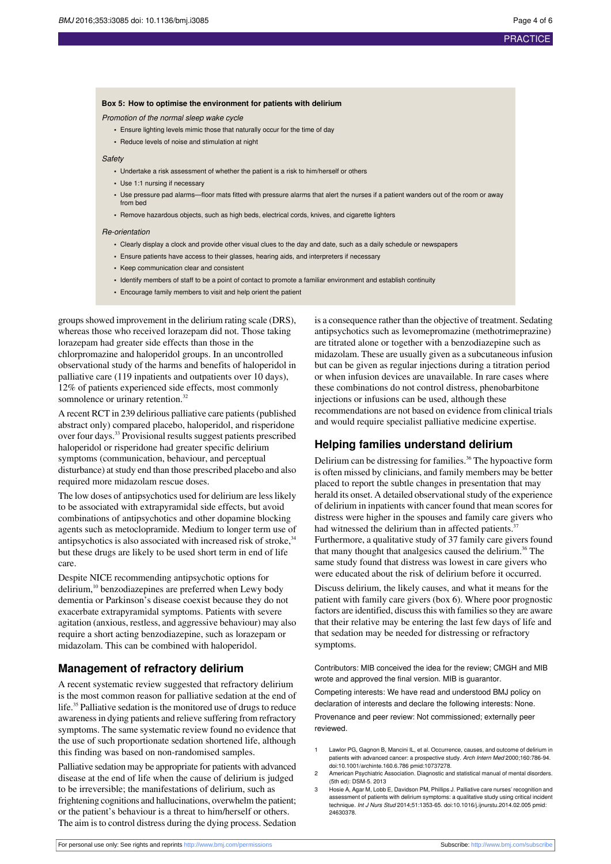#### **Box 5: How to optimise the environment for patients with delirium**

Promotion of the normal sleep wake cycle

- **•** Ensure lighting levels mimic those that naturally occur for the time of day
- **•** Reduce levels of noise and stimulation at night

### **Safety**

- **•** Undertake a risk assessment of whether the patient is a risk to him/herself or others
- **•** Use 1:1 nursing if necessary
- **•** Use pressure pad alarms—floor mats fitted with pressure alarms that alert the nurses if a patient wanders out of the room or away from bed
- **•** Remove hazardous objects, such as high beds, electrical cords, knives, and cigarette lighters

### Re-orientation

- **•** Clearly display a clock and provide other visual clues to the day and date, such as a daily schedule or newspapers
- **•** Ensure patients have access to their glasses, hearing aids, and interpreters if necessary
- **•** Keep communication clear and consistent
- **•** Identify members of staff to be a point of contact to promote a familiar environment and establish continuity
- **•** Encourage family members to visit and help orient the patient

groups showed improvement in the delirium rating scale (DRS), whereas those who received lorazepam did not. Those taking lorazepam had greater side effects than those in the chlorpromazine and haloperidol groups. In an uncontrolled observational study of the harms and benefits of haloperidol in palliative care (119 inpatients and outpatients over 10 days), 12% of patients experienced side effects, most commonly somnolence or urinary retention.<sup>32</sup>

A recent RCT in 239 delirious palliative care patients(published abstract only) compared placebo, haloperidol, and risperidone over four days.<sup>33</sup> Provisional results suggest patients prescribed haloperidol or risperidone had greater specific delirium symptoms (communication, behaviour, and perceptual disturbance) at study end than those prescribed placebo and also required more midazolam rescue doses.

The low doses of antipsychotics used for delirium are less likely to be associated with extrapyramidal side effects, but avoid combinations of antipsychotics and other dopamine blocking agents such as metoclopramide. Medium to longer term use of antipsychotics is also associated with increased risk of stroke,<sup>34</sup> but these drugs are likely to be used short term in end of life care.

Despite NICE recommending antipsychotic options for delirium,<sup>10</sup> benzodiazepines are preferred when Lewy body dementia or Parkinson's disease coexist because they do not exacerbate extrapyramidal symptoms. Patients with severe agitation (anxious, restless, and aggressive behaviour) may also require a short acting benzodiazepine, such as lorazepam or midazolam. This can be combined with haloperidol.

### **Management of refractory delirium**

A recent systematic review suggested that refractory delirium is the most common reason for palliative sedation at the end of life.<sup>35</sup> Palliative sedation is the monitored use of drugs to reduce awarenessin dying patients and relieve suffering from refractory symptoms. The same systematic review found no evidence that the use of such proportionate sedation shortened life, although this finding was based on non-randomised samples.

Palliative sedation may be appropriate for patients with advanced disease at the end of life when the cause of delirium is judged to be irreversible; the manifestations of delirium, such as frightening cognitions and hallucinations, overwhelm the patient; or the patient's behaviour is a threat to him/herself or others. The aim isto control distress during the dying process. Sedation

is a consequence rather than the objective of treatment. Sedating antipsychotics such as levomepromazine (methotrimeprazine) are titrated alone or together with a benzodiazepine such as midazolam. These are usually given as a subcutaneous infusion but can be given as regular injections during a titration period or when infusion devices are unavailable. In rare cases where these combinations do not control distress, phenobarbitone injections or infusions can be used, although these recommendations are not based on evidence from clinical trials and would require specialist palliative medicine expertise.

### **Helping families understand delirium**

Delirium can be distressing for families.<sup>36</sup> The hypoactive form is often missed by clinicians, and family members may be better placed to report the subtle changes in presentation that may herald its onset. A detailed observational study of the experience of delirium in inpatients with cancer found that mean scores for distress were higher in the spouses and family care givers who had witnessed the delirium than in affected patients.<sup>37</sup> Furthermore, a qualitative study of 37 family care givers found that many thought that analgesics caused the delirium.<sup>36</sup> The same study found that distress was lowest in care givers who were educated about the risk of delirium before it occurred.

Discuss delirium, the likely causes, and what it means for the patient with family care givers (box 6). Where poor prognostic factors are identified, discuss this with families so they are aware that their relative may be entering the last few days of life and that sedation may be needed for distressing or refractory symptoms.

Contributors: MIB conceived the idea for the review; CMGH and MIB wrote and approved the final version. MIB is guarantor.

Competing interests: We have read and understood BMJ policy on declaration of interests and declare the following interests: None.

Provenance and peer review: Not commissioned; externally peer reviewed.

- 1 Lawlor PG, Gagnon B, Mancini IL, et al. Occurrence, causes, and outcome of delirium in patients with advanced cancer: a prospective study. Arch Intern Med 2000;160:786-94. [doi:10.1001/archinte.160.6.786](http://dx.doi.org/doi:10.1001/archinte.160.6.786) [pmid:10737278.](http://www.ncbi.nlm.nih.gov/pubmed/?term=10737278)
- 2 American Psychiatric Association. Diagnostic and statistical manual of mental disorders. (5th ed): DSM-5. 2013
- 3 Hosie A, Agar M, Lobb E, Davidson PM, Phillips J. Palliative care nurses' recognition and assessment of patients with delirium symptoms: a qualitative study using critical incide technique. Int J Nurs Stud 2014;51:1353-65. [doi:10.1016/j.ijnurstu.2014.02.005](http://dx.doi.org/doi:10.1016/j.ijnurstu.2014.02.005) [pmid:](http://www.ncbi.nlm.nih.gov/pubmed/?term=24630378) [24630378.](http://www.ncbi.nlm.nih.gov/pubmed/?term=24630378)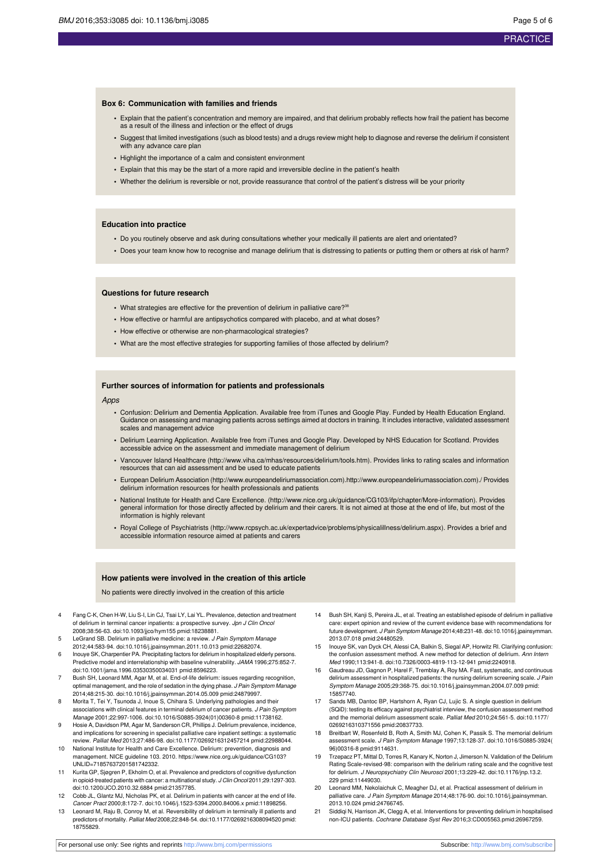### **Box 6: Communication with families and friends**

- **•** Explain that the patient's concentration and memory are impaired, and that delirium probably reflects how frail the patient has become as a result of the illness and infection or the effect of drugs
- **•** Suggest that limited investigations (such as blood tests) and a drugs review might help to diagnose and reverse the delirium if consistent with any advance care plan
- **•** Highlight the importance of a calm and consistent environment
- **•** Explain that this may be the start of a more rapid and irreversible decline in the patient's health
- **•** Whether the delirium is reversible or not, provide reassurance that control of the patient's distress will be your priority

#### **Education into practice**

- **•** Do you routinely observe and ask during consultations whether your medically ill patients are alert and orientated?
- **•** Does your team know how to recognise and manage delirium that is distressing to patients or putting them or others at risk of harm?

#### **Questions for future research**

- What strategies are effective for the prevention of delirium in palliative care?<sup>38</sup>
- **•** How effective or harmful are antipsychotics compared with placebo, and at what doses?
- **•** How effective or otherwise are non-pharmacological strategies?
- **•** What are the most effective strategies for supporting families of those affected by delirium?

#### **Further sources of information for patients and professionals**

#### Apps

- **•** Confusion: Delirium and Dementia Application. Available free from iTunes and Google Play. Funded by Health Education England. Guidance on assessing and managing patients across settings aimed at doctors in training. It includes interactive, validated assessment scales and management advice
- **•** Delirium Learning Application. Available free from iTunes and Google Play. Developed by NHS Education for Scotland. Provides accessible advice on the assessment and immediate management of delirium
- **•** Vancouver Island Healthcare (<http://www.viha.ca/mhas/resources/delirium/tools.htm>). Provides links to rating scales and information resources that can aid assessment and be used to educate patients
- **•** European Delirium Association [\(http://www.europeandeliriumassociation.com\)](http://www.europeandeliriumassociation.com).[http://www.europeandeliriumassociation.com\)./](http://www.europeandeliriumassociation.com).) Provides delirium information resources for health professionals and patients
- **•** National Institute for Health and Care Excellence. [\(http://www.nice.org.uk/guidance/CG103/ifp/chapter/More-information](http://www.nice.org.uk/guidance/CG103/ifp/chapter/More-information)). Provides general information for those directly affected by delirium and their carers. It is not aimed at those at the end of life, but most of the information is highly relevant
- **•** Royal College of Psychiatrists [\(http://www.rcpsych.ac.uk/expertadvice/problems/physicalillness/delirium.aspx](http://www.rcpsych.ac.uk/expertadvice/problems/physicalillness/delirium.aspx)). Provides a brief and accessible information resource aimed at patients and carers

#### **How patients were involved in the creation of this article**

No patients were directly involved in the creation of this article

- 4 Fang C-K, Chen H-W, Liu S-I, Lin CJ, Tsai LY, Lai YL. Prevalence, detection and treatment of delirium in terminal cancer inpatients: a prospective survey. Jpn J Clin Oncol 2008;38:56-63. [doi:10.1093/jjco/hym155](http://dx.doi.org/doi:10.1093/jjco/hym155) [pmid:18238881.](http://www.ncbi.nlm.nih.gov/pubmed/?term=18238881)
- LeGrand SB. Delirium in palliative medicine: a review. J Pain Symptom Manage 2012;44:583-94. [doi:10.1016/j.jpainsymman.2011.10.013](http://dx.doi.org/doi:10.1016/j.jpainsymman.2011.10.013) [pmid:22682074.](http://www.ncbi.nlm.nih.gov/pubmed/?term=22682074)
- 6 Inouye SK, Charpentier PA. Precipitating factors for delirium in hospitalized elderly persons. Predictive model and interrelationship with baseline vulnerability. JAMA 1996;275:852-7. [doi:10.1001/jama.1996.03530350034031](http://dx.doi.org/doi:10.1001/jama.1996.03530350034031) [pmid:8596223.](http://www.ncbi.nlm.nih.gov/pubmed/?term=8596223)
- 7 Bush SH, Leonard MM, Agar M, et al. End-of-life delirium: issues regarding recognition, optimal management, and the role of sedation in the dying phase. J Pain Symptom Manage 2014;48:215-30. [doi:10.1016/j.jpainsymman.2014.05.009](http://dx.doi.org/doi:10.1016/j.jpainsymman.2014.05.009) [pmid:24879997.](http://www.ncbi.nlm.nih.gov/pubmed/?term=24879997)
- 8 Morita T, Tei Y, Tsunoda J, Inoue S, Chihara S. Underlying pathologies and their associations with clinical features in terminal delirium of cancer patients. J Pain Symptom Manage 2001;22:997-1006. [doi:10.1016/S0885-3924\(01\)00360-8](http://dx.doi.org/doi:10.1016/S0885-3924(01)00360-8) [pmid:11738162](http://www.ncbi.nlm.nih.gov/pubmed/?term=11738162).
- 9 Hosie A, Davidson PM, Agar M, Sanderson CR, Phillips J. Delirium prevalence, incidence, and implications for screening in specialist palliative care inpatient settings: a systematic review. Palliat Med 2013;27:486-98. [doi:10.1177/0269216312457214](http://dx.doi.org/doi:10.1177/0269216312457214) [pmid:22988044.](http://www.ncbi.nlm.nih.gov/pubmed/?term=22988044)
- 10 National Institute for Health and Care Excellence. Delirium: prevention, diagnosis and management. NICE guideline 103. 2010. https://www.nice.org.uk/guidance/CG103? UNLID=71857637201581742332.
- 11 Kurita GP, Siggren P, Ekholm O, et al. Prevalence and predictors of cognitive dysfunction in opioid-treated patients with cancer: a multinational study. J Clin Oncol 2011;29:1297-303. [doi:10.1200/JCO.2010.32.6884](http://dx.doi.org/doi:10.1200/JCO.2010.32.6884) [pmid:21357785](http://www.ncbi.nlm.nih.gov/pubmed/?term=21357785).
- 12 Cobb JL, Glantz MJ, Nicholas PK, et al. Delirium in patients with cancer at the end of life. Cancer Pract 2000;8:172-7. [doi:10.1046/j.1523-5394.2000.84006.x](http://dx.doi.org/doi:10.1046/j.1523-5394.2000.84006.x) [pmid:11898256](http://www.ncbi.nlm.nih.gov/pubmed/?term=11898256).
- 13 Leonard M, Raju B, Conroy M, et al. Reversibility of delirium in terminally ill patients and predictors of mortality. Palliat Med 2008;22:848-54. [doi:10.1177/0269216308094520](http://dx.doi.org/doi:10.1177/0269216308094520) [pmid:](http://www.ncbi.nlm.nih.gov/pubmed/?term=18755829) [18755829.](http://www.ncbi.nlm.nih.gov/pubmed/?term=18755829)
- 14 Bush SH, Kanji S, Pereira JL, et al. Treating an established episode of delirium in palliative care: expert opinion and review of the current evidence base with recommendations for future development. J Pain Symptom Manage 2014;48:231-48. [doi:10.1016/j.jpainsymman.](http://dx.doi.org/doi:10.1016/j.jpainsymman.2013.07.018) [2013.07.018](http://dx.doi.org/doi:10.1016/j.jpainsymman.2013.07.018) [pmid:24480529](http://www.ncbi.nlm.nih.gov/pubmed/?term=24480529).
- 15 Inouye SK, van Dyck CH, Alessi CA, Balkin S, Siegal AP, Horwitz RI. Clarifying confusion: the confusion assessment method. A new method for detection of delirium. Ann Intern Med 1990;113:941-8. [doi:10.7326/0003-4819-113-12-941](http://dx.doi.org/doi:10.7326/0003-4819-113-12-941) [pmid:2240918.](http://www.ncbi.nlm.nih.gov/pubmed/?term=2240918)
- 16 Gaudreau JD, Gagnon P, Harel F, Tremblay A, Roy MA. Fast, systematic, and continuous delirium assessment in hospitalized patients: the nursing delirium screening scale. J Pain Symptom Manage 2005;29:368-75. [doi:10.1016/j.jpainsymman.2004.07.009](http://dx.doi.org/doi:10.1016/j.jpainsymman.2004.07.009) [pmid:](http://www.ncbi.nlm.nih.gov/pubmed/?term=15857740) [15857740.](http://www.ncbi.nlm.nih.gov/pubmed/?term=15857740)
- 17 Sands MB, Dantoc BP, Hartshorn A, Ryan CJ, Lujic S. A single question in delirium (SQiD): testing its efficacy against psychiatrist interview, the confusion assessment method and the memorial delirium assessment scale. Palliat Med 2010;24:561-5. [doi:10.1177/](http://dx.doi.org/doi:10.1177/0269216310371556) [0269216310371556](http://dx.doi.org/doi:10.1177/0269216310371556) [pmid:20837733](http://www.ncbi.nlm.nih.gov/pubmed/?term=20837733).
- 18 Breitbart W, Rosenfeld B, Roth A, Smith MJ, Cohen K, Passik S. The memorial delirium assessment scale. J Pain Symptom Manage 1997;13:128-37. [doi:10.1016/S0885-3924\(](http://dx.doi.org/doi:10.1016/S0885-3924(96)00316-8) [96\)00316-8](http://dx.doi.org/doi:10.1016/S0885-3924(96)00316-8) [pmid:9114631.](http://www.ncbi.nlm.nih.gov/pubmed/?term=9114631)
- 19 Trzepacz PT, Mittal D, Torres R, Kanary K, Norton J, Jimerson N. Validation of the Delirium Rating Scale-revised-98: comparison with the delirium rating scale and the cognitive test for delirium. J Neuropsychiatry Clin Neurosci 2001;13:229-42. [doi:10.1176/jnp.13.2.](http://dx.doi.org/doi:10.1176/jnp.13.2.229) [229](http://dx.doi.org/doi:10.1176/jnp.13.2.229) [pmid:11449030](http://www.ncbi.nlm.nih.gov/pubmed/?term=11449030).
- 20 Leonard MM, Nekolaichuk C, Meagher DJ, et al. Practical assessment of delirium in palliative care. J Pain Symptom Manage 2014;48:176-90. [doi:10.1016/j.jpainsymman.](http://dx.doi.org/doi:10.1016/j.jpainsymman.2013.10.024) [2013.10.024](http://dx.doi.org/doi:10.1016/j.jpainsymman.2013.10.024) [pmid:24766745](http://www.ncbi.nlm.nih.gov/pubmed/?term=24766745).
- 21 Siddiqi N, Harrison JK, Clegg A, et al. Interventions for preventing delirium in hospitalised non-ICU patients. Cochrane Database Syst Rev 2016;3:CD005563[.pmid:26967259.](http://www.ncbi.nlm.nih.gov/pubmed/?term=26967259)